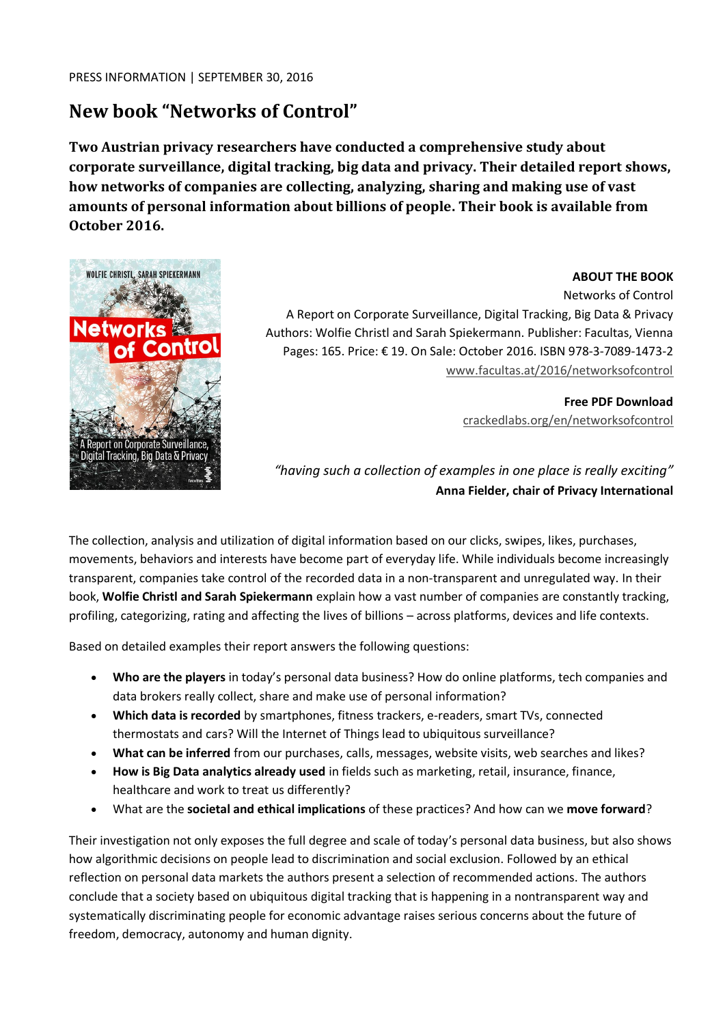# **New book "Networks of Control"**

**Two Austrian privacy researchers have conducted a comprehensive study about corporate surveillance, digital tracking, big data and privacy. Their detailed report shows, how networks of companies are collecting, analyzing, sharing and making use of vast amounts of personal information about billions of people. Their book is available from October 2016.**



#### **ABOUT THE BOOK**

Networks of Control

A Report on Corporate Surveillance, Digital Tracking, Big Data & Privacy Authors: Wolfie Christl and Sarah Spiekermann. Publisher: Facultas, Vienna Pages: 165. Price: € 19. On Sale: October 2016. ISBN 978-3-7089-1473-2 [www.facultas.at/2016/networksofcontrol](http://www.facultas.at/2016/networksofcontrol)

> **Free PDF Download** [crackedlabs.org/en/networksofcontrol](http://crackedlabs.org/en/networksofcontrol)

*"having such a collection of examples in one place is really exciting"* **Anna Fielder, chair of Privacy International**

The collection, analysis and utilization of digital information based on our clicks, swipes, likes, purchases, movements, behaviors and interests have become part of everyday life. While individuals become increasingly transparent, companies take control of the recorded data in a non-transparent and unregulated way. In their book, **Wolfie Christl and Sarah Spiekermann** explain how a vast number of companies are constantly tracking, profiling, categorizing, rating and affecting the lives of billions – across platforms, devices and life contexts.

Based on detailed examples their report answers the following questions:

- **Who are the players** in today's personal data business? How do online platforms, tech companies and data brokers really collect, share and make use of personal information?
- **Which data is recorded** by smartphones, fitness trackers, e-readers, smart TVs, connected thermostats and cars? Will the Internet of Things lead to ubiquitous surveillance?
- **What can be inferred** from our purchases, calls, messages, website visits, web searches and likes?
- **How is Big Data analytics already used** in fields such as marketing, retail, insurance, finance, healthcare and work to treat us differently?
- What are the **societal and ethical implications** of these practices? And how can we **move forward**?

Their investigation not only exposes the full degree and scale of today's personal data business, but also shows how algorithmic decisions on people lead to discrimination and social exclusion. Followed by an ethical reflection on personal data markets the authors present a selection of recommended actions. The authors conclude that a society based on ubiquitous digital tracking that is happening in a nontransparent way and systematically discriminating people for economic advantage raises serious concerns about the future of freedom, democracy, autonomy and human dignity.